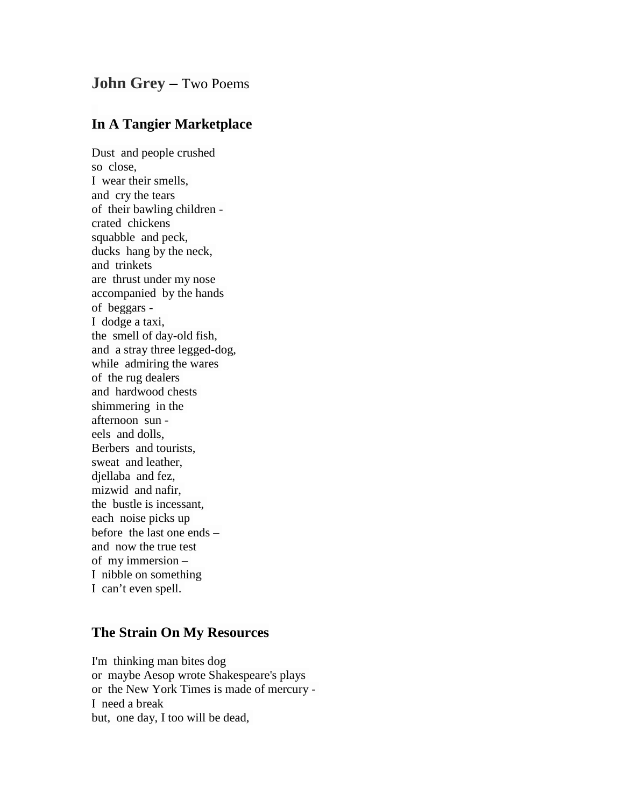## **John Grey –** Two Poems

## **In A Tangier Marketplace**

Dust and people crushed so close, I wear their smells, and cry the tears of their bawling children crated chickens squabble and peck, ducks hang by the neck, and trinkets are thrust under my nose accompanied by the hands of beggars - I dodge a taxi, the smell of day-old fish, and a stray three legged-dog, while admiring the wares of the rug dealers and hardwood chests shimmering in the afternoon sun eels and dolls, Berbers and tourists, sweat and leather, djellaba and fez, mizwid and nafir, the bustle is incessant, each noise picks up before the last one ends – and now the true test of my immersion – I nibble on something I can't even spell.

## **The Strain On My Resources**

I'm thinking man bites dog or maybe Aesop wrote Shakespeare's plays or the New York Times is made of mercury - I need a break but, one day, I too will be dead,